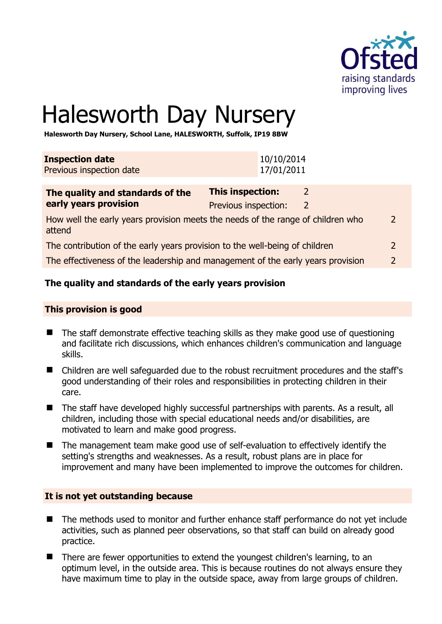

# Halesworth Day Nursery

**Halesworth Day Nursery, School Lane, HALESWORTH, Suffolk, IP19 8BW** 

| <b>Inspection date</b>   | 10/10/2014 |
|--------------------------|------------|
| Previous inspection date | 17/01/2011 |
|                          |            |

| The quality and standards of the                                                          | <b>This inspection:</b> |   |               |
|-------------------------------------------------------------------------------------------|-------------------------|---|---------------|
| early years provision                                                                     | Previous inspection:    | 2 |               |
| How well the early years provision meets the needs of the range of children who<br>attend |                         |   | $\mathcal{L}$ |
| The contribution of the early years provision to the well-being of children               |                         |   |               |
| The effectiveness of the leadership and management of the early years provision           |                         |   |               |

# **The quality and standards of the early years provision**

#### **This provision is good**

- The staff demonstrate effective teaching skills as they make good use of questioning and facilitate rich discussions, which enhances children's communication and language skills.
- Children are well safeguarded due to the robust recruitment procedures and the staff's good understanding of their roles and responsibilities in protecting children in their care.
- The staff have developed highly successful partnerships with parents. As a result, all children, including those with special educational needs and/or disabilities, are motivated to learn and make good progress.
- The management team make good use of self-evaluation to effectively identify the setting's strengths and weaknesses. As a result, robust plans are in place for improvement and many have been implemented to improve the outcomes for children.

#### **It is not yet outstanding because**

- The methods used to monitor and further enhance staff performance do not yet include activities, such as planned peer observations, so that staff can build on already good practice.
- There are fewer opportunities to extend the youngest children's learning, to an optimum level, in the outside area. This is because routines do not always ensure they have maximum time to play in the outside space, away from large groups of children.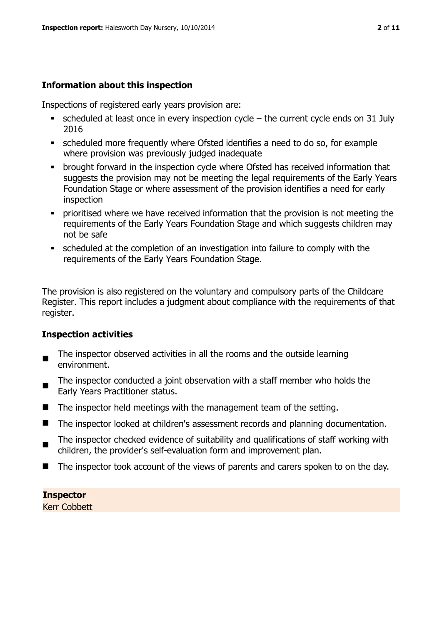# **Information about this inspection**

Inspections of registered early years provision are:

- $\bullet$  scheduled at least once in every inspection cycle the current cycle ends on 31 July 2016
- scheduled more frequently where Ofsted identifies a need to do so, for example where provision was previously judged inadequate
- **•** brought forward in the inspection cycle where Ofsted has received information that suggests the provision may not be meeting the legal requirements of the Early Years Foundation Stage or where assessment of the provision identifies a need for early inspection
- **•** prioritised where we have received information that the provision is not meeting the requirements of the Early Years Foundation Stage and which suggests children may not be safe
- scheduled at the completion of an investigation into failure to comply with the requirements of the Early Years Foundation Stage.

The provision is also registered on the voluntary and compulsory parts of the Childcare Register. This report includes a judgment about compliance with the requirements of that register.

# **Inspection activities**

- $\blacksquare$ The inspector observed activities in all the rooms and the outside learning environment.
- $\blacksquare$ The inspector conducted a joint observation with a staff member who holds the Early Years Practitioner status.
- $\blacksquare$  The inspector held meetings with the management team of the setting.
- $\blacksquare$  The inspector looked at children's assessment records and planning documentation.
- The inspector checked evidence of suitability and qualifications of staff working with children, the provider's self-evaluation form and improvement plan.
- The inspector took account of the views of parents and carers spoken to on the day.

#### **Inspector**

Kerr Cobbett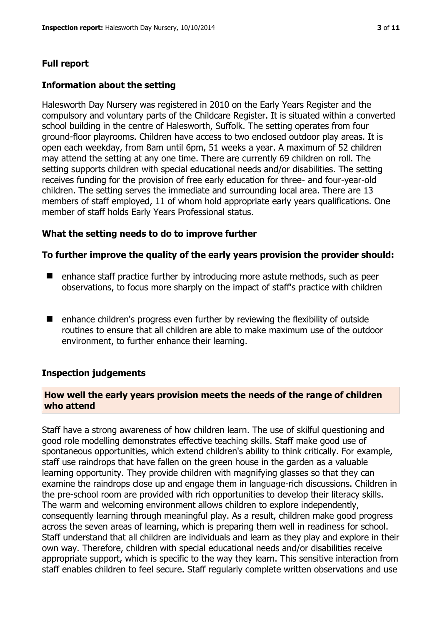# **Full report**

#### **Information about the setting**

Halesworth Day Nursery was registered in 2010 on the Early Years Register and the compulsory and voluntary parts of the Childcare Register. It is situated within a converted school building in the centre of Halesworth, Suffolk. The setting operates from four ground-floor playrooms. Children have access to two enclosed outdoor play areas. It is open each weekday, from 8am until 6pm, 51 weeks a year. A maximum of 52 children may attend the setting at any one time. There are currently 69 children on roll. The setting supports children with special educational needs and/or disabilities. The setting receives funding for the provision of free early education for three- and four-year-old children. The setting serves the immediate and surrounding local area. There are 13 members of staff employed, 11 of whom hold appropriate early years qualifications. One member of staff holds Early Years Professional status.

#### **What the setting needs to do to improve further**

#### **To further improve the quality of the early years provision the provider should:**

- $\blacksquare$  enhance staff practice further by introducing more astute methods, such as peer observations, to focus more sharply on the impact of staff's practice with children
- enhance children's progress even further by reviewing the flexibility of outside routines to ensure that all children are able to make maximum use of the outdoor environment, to further enhance their learning.

#### **Inspection judgements**

#### **How well the early years provision meets the needs of the range of children who attend**

Staff have a strong awareness of how children learn. The use of skilful questioning and good role modelling demonstrates effective teaching skills. Staff make good use of spontaneous opportunities, which extend children's ability to think critically. For example, staff use raindrops that have fallen on the green house in the garden as a valuable learning opportunity. They provide children with magnifying glasses so that they can examine the raindrops close up and engage them in language-rich discussions. Children in the pre-school room are provided with rich opportunities to develop their literacy skills. The warm and welcoming environment allows children to explore independently, consequently learning through meaningful play. As a result, children make good progress across the seven areas of learning, which is preparing them well in readiness for school. Staff understand that all children are individuals and learn as they play and explore in their own way. Therefore, children with special educational needs and/or disabilities receive appropriate support, which is specific to the way they learn. This sensitive interaction from staff enables children to feel secure. Staff regularly complete written observations and use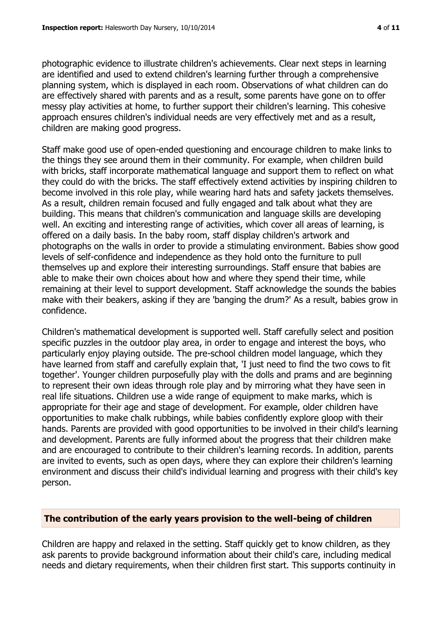photographic evidence to illustrate children's achievements. Clear next steps in learning are identified and used to extend children's learning further through a comprehensive planning system, which is displayed in each room. Observations of what children can do are effectively shared with parents and as a result, some parents have gone on to offer messy play activities at home, to further support their children's learning. This cohesive approach ensures children's individual needs are very effectively met and as a result, children are making good progress.

Staff make good use of open-ended questioning and encourage children to make links to the things they see around them in their community. For example, when children build with bricks, staff incorporate mathematical language and support them to reflect on what they could do with the bricks. The staff effectively extend activities by inspiring children to become involved in this role play, while wearing hard hats and safety jackets themselves. As a result, children remain focused and fully engaged and talk about what they are building. This means that children's communication and language skills are developing well. An exciting and interesting range of activities, which cover all areas of learning, is offered on a daily basis. In the baby room, staff display children's artwork and photographs on the walls in order to provide a stimulating environment. Babies show good levels of self-confidence and independence as they hold onto the furniture to pull themselves up and explore their interesting surroundings. Staff ensure that babies are able to make their own choices about how and where they spend their time, while remaining at their level to support development. Staff acknowledge the sounds the babies make with their beakers, asking if they are 'banging the drum?' As a result, babies grow in confidence.

Children's mathematical development is supported well. Staff carefully select and position specific puzzles in the outdoor play area, in order to engage and interest the boys, who particularly enjoy playing outside. The pre-school children model language, which they have learned from staff and carefully explain that, 'I just need to find the two cows to fit together'. Younger children purposefully play with the dolls and prams and are beginning to represent their own ideas through role play and by mirroring what they have seen in real life situations. Children use a wide range of equipment to make marks, which is appropriate for their age and stage of development. For example, older children have opportunities to make chalk rubbings, while babies confidently explore gloop with their hands. Parents are provided with good opportunities to be involved in their child's learning and development. Parents are fully informed about the progress that their children make and are encouraged to contribute to their children's learning records. In addition, parents are invited to events, such as open days, where they can explore their children's learning environment and discuss their child's individual learning and progress with their child's key person.

#### **The contribution of the early years provision to the well-being of children**

Children are happy and relaxed in the setting. Staff quickly get to know children, as they ask parents to provide background information about their child's care, including medical needs and dietary requirements, when their children first start. This supports continuity in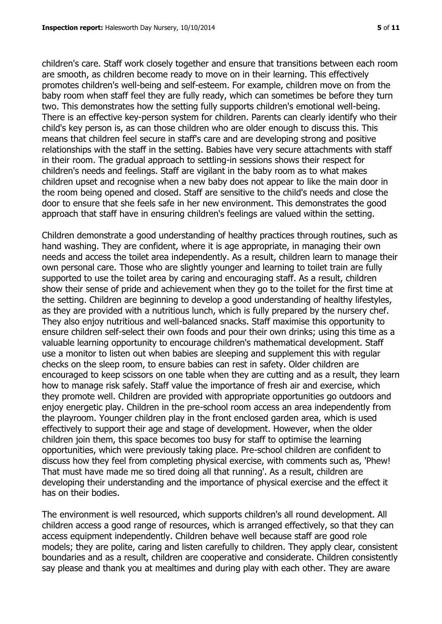children's care. Staff work closely together and ensure that transitions between each room are smooth, as children become ready to move on in their learning. This effectively promotes children's well-being and self-esteem. For example, children move on from the baby room when staff feel they are fully ready, which can sometimes be before they turn two. This demonstrates how the setting fully supports children's emotional well-being. There is an effective key-person system for children. Parents can clearly identify who their child's key person is, as can those children who are older enough to discuss this. This means that children feel secure in staff's care and are developing strong and positive relationships with the staff in the setting. Babies have very secure attachments with staff in their room. The gradual approach to settling-in sessions shows their respect for children's needs and feelings. Staff are vigilant in the baby room as to what makes children upset and recognise when a new baby does not appear to like the main door in the room being opened and closed. Staff are sensitive to the child's needs and close the door to ensure that she feels safe in her new environment. This demonstrates the good approach that staff have in ensuring children's feelings are valued within the setting.

Children demonstrate a good understanding of healthy practices through routines, such as hand washing. They are confident, where it is age appropriate, in managing their own needs and access the toilet area independently. As a result, children learn to manage their own personal care. Those who are slightly younger and learning to toilet train are fully supported to use the toilet area by caring and encouraging staff. As a result, children show their sense of pride and achievement when they go to the toilet for the first time at the setting. Children are beginning to develop a good understanding of healthy lifestyles, as they are provided with a nutritious lunch, which is fully prepared by the nursery chef. They also enjoy nutritious and well-balanced snacks. Staff maximise this opportunity to ensure children self-select their own foods and pour their own drinks; using this time as a valuable learning opportunity to encourage children's mathematical development. Staff use a monitor to listen out when babies are sleeping and supplement this with regular checks on the sleep room, to ensure babies can rest in safety. Older children are encouraged to keep scissors on one table when they are cutting and as a result, they learn how to manage risk safely. Staff value the importance of fresh air and exercise, which they promote well. Children are provided with appropriate opportunities go outdoors and enjoy energetic play. Children in the pre-school room access an area independently from the playroom. Younger children play in the front enclosed garden area, which is used effectively to support their age and stage of development. However, when the older children join them, this space becomes too busy for staff to optimise the learning opportunities, which were previously taking place. Pre-school children are confident to discuss how they feel from completing physical exercise, with comments such as, 'Phew! That must have made me so tired doing all that running'. As a result, children are developing their understanding and the importance of physical exercise and the effect it has on their bodies.

The environment is well resourced, which supports children's all round development. All children access a good range of resources, which is arranged effectively, so that they can access equipment independently. Children behave well because staff are good role models; they are polite, caring and listen carefully to children. They apply clear, consistent boundaries and as a result, children are cooperative and considerate. Children consistently say please and thank you at mealtimes and during play with each other. They are aware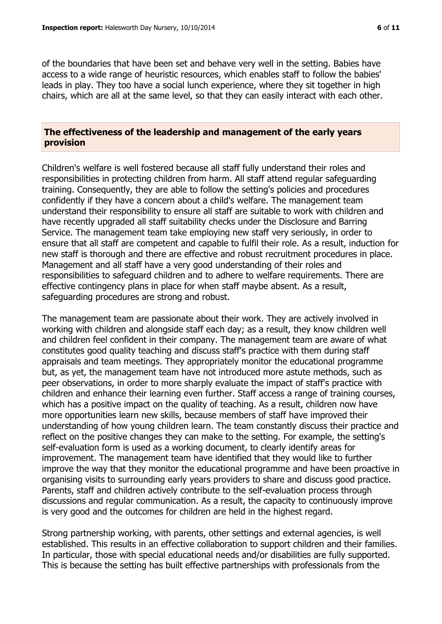of the boundaries that have been set and behave very well in the setting. Babies have access to a wide range of heuristic resources, which enables staff to follow the babies' leads in play. They too have a social lunch experience, where they sit together in high chairs, which are all at the same level, so that they can easily interact with each other.

#### **The effectiveness of the leadership and management of the early years provision**

Children's welfare is well fostered because all staff fully understand their roles and responsibilities in protecting children from harm. All staff attend regular safeguarding training. Consequently, they are able to follow the setting's policies and procedures confidently if they have a concern about a child's welfare. The management team understand their responsibility to ensure all staff are suitable to work with children and have recently upgraded all staff suitability checks under the Disclosure and Barring Service. The management team take employing new staff very seriously, in order to ensure that all staff are competent and capable to fulfil their role. As a result, induction for new staff is thorough and there are effective and robust recruitment procedures in place. Management and all staff have a very good understanding of their roles and responsibilities to safeguard children and to adhere to welfare requirements. There are effective contingency plans in place for when staff maybe absent. As a result, safeguarding procedures are strong and robust.

The management team are passionate about their work. They are actively involved in working with children and alongside staff each day; as a result, they know children well and children feel confident in their company. The management team are aware of what constitutes good quality teaching and discuss staff's practice with them during staff appraisals and team meetings. They appropriately monitor the educational programme but, as yet, the management team have not introduced more astute methods, such as peer observations, in order to more sharply evaluate the impact of staff's practice with children and enhance their learning even further. Staff access a range of training courses, which has a positive impact on the quality of teaching. As a result, children now have more opportunities learn new skills, because members of staff have improved their understanding of how young children learn. The team constantly discuss their practice and reflect on the positive changes they can make to the setting. For example, the setting's self-evaluation form is used as a working document, to clearly identify areas for improvement. The management team have identified that they would like to further improve the way that they monitor the educational programme and have been proactive in organising visits to surrounding early years providers to share and discuss good practice. Parents, staff and children actively contribute to the self-evaluation process through discussions and regular communication. As a result, the capacity to continuously improve is very good and the outcomes for children are held in the highest regard.

Strong partnership working, with parents, other settings and external agencies, is well established. This results in an effective collaboration to support children and their families. In particular, those with special educational needs and/or disabilities are fully supported. This is because the setting has built effective partnerships with professionals from the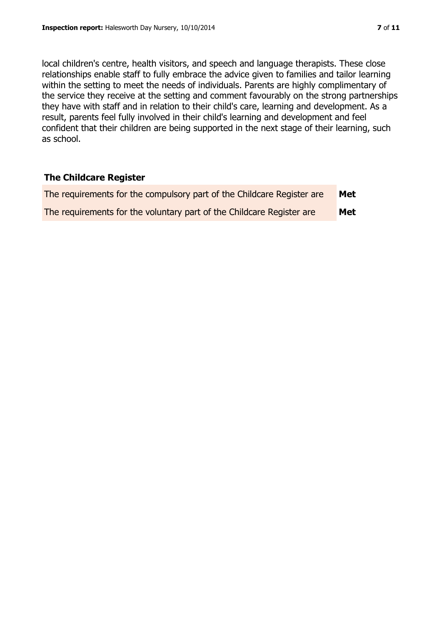local children's centre, health visitors, and speech and language therapists. These close relationships enable staff to fully embrace the advice given to families and tailor learning within the setting to meet the needs of individuals. Parents are highly complimentary of the service they receive at the setting and comment favourably on the strong partnerships they have with staff and in relation to their child's care, learning and development. As a result, parents feel fully involved in their child's learning and development and feel confident that their children are being supported in the next stage of their learning, such as school.

#### **The Childcare Register**

| The requirements for the compulsory part of the Childcare Register are | Met |
|------------------------------------------------------------------------|-----|
| The requirements for the voluntary part of the Childcare Register are  | Met |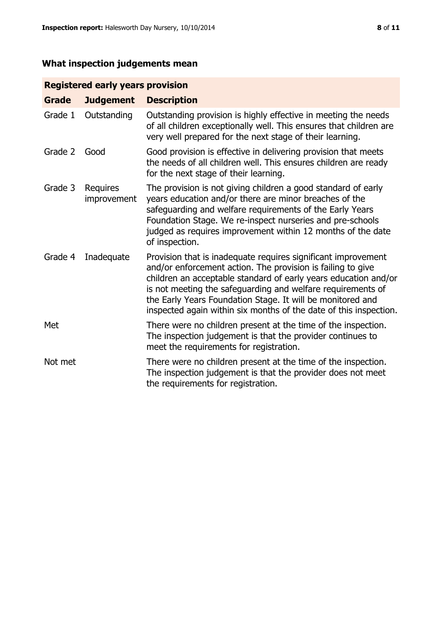# **What inspection judgements mean**

# **Registered early years provision**

| <b>Grade</b> | <b>Judgement</b>        | <b>Description</b>                                                                                                                                                                                                                                                                                                                                                                                |
|--------------|-------------------------|---------------------------------------------------------------------------------------------------------------------------------------------------------------------------------------------------------------------------------------------------------------------------------------------------------------------------------------------------------------------------------------------------|
| Grade 1      | Outstanding             | Outstanding provision is highly effective in meeting the needs<br>of all children exceptionally well. This ensures that children are<br>very well prepared for the next stage of their learning.                                                                                                                                                                                                  |
| Grade 2      | Good                    | Good provision is effective in delivering provision that meets<br>the needs of all children well. This ensures children are ready<br>for the next stage of their learning.                                                                                                                                                                                                                        |
| Grade 3      | Requires<br>improvement | The provision is not giving children a good standard of early<br>years education and/or there are minor breaches of the<br>safeguarding and welfare requirements of the Early Years<br>Foundation Stage. We re-inspect nurseries and pre-schools<br>judged as requires improvement within 12 months of the date<br>of inspection.                                                                 |
| Grade 4      | Inadequate              | Provision that is inadequate requires significant improvement<br>and/or enforcement action. The provision is failing to give<br>children an acceptable standard of early years education and/or<br>is not meeting the safeguarding and welfare requirements of<br>the Early Years Foundation Stage. It will be monitored and<br>inspected again within six months of the date of this inspection. |
| Met          |                         | There were no children present at the time of the inspection.<br>The inspection judgement is that the provider continues to<br>meet the requirements for registration.                                                                                                                                                                                                                            |
| Not met      |                         | There were no children present at the time of the inspection.<br>The inspection judgement is that the provider does not meet<br>the requirements for registration.                                                                                                                                                                                                                                |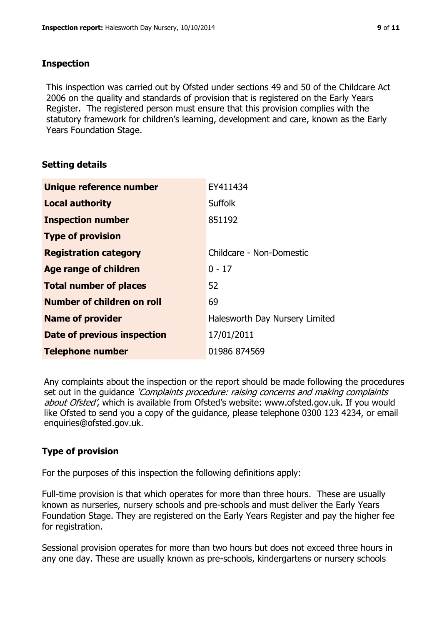#### **Inspection**

This inspection was carried out by Ofsted under sections 49 and 50 of the Childcare Act 2006 on the quality and standards of provision that is registered on the Early Years Register. The registered person must ensure that this provision complies with the statutory framework for children's learning, development and care, known as the Early Years Foundation Stage.

# **Setting details**

| Unique reference number           | EY411434                       |
|-----------------------------------|--------------------------------|
| <b>Local authority</b>            | <b>Suffolk</b>                 |
| <b>Inspection number</b>          | 851192                         |
| <b>Type of provision</b>          |                                |
| <b>Registration category</b>      | Childcare - Non-Domestic       |
| Age range of children             | $0 - 17$                       |
| <b>Total number of places</b>     | 52                             |
| <b>Number of children on roll</b> | 69                             |
| <b>Name of provider</b>           | Halesworth Day Nursery Limited |
| Date of previous inspection       | 17/01/2011                     |
| <b>Telephone number</b>           | 01986 874569                   |

Any complaints about the inspection or the report should be made following the procedures set out in the guidance *'Complaints procedure: raising concerns and making complaints* about Ofsted', which is available from Ofsted's website: www.ofsted.gov.uk. If you would like Ofsted to send you a copy of the guidance, please telephone 0300 123 4234, or email enquiries@ofsted.gov.uk.

# **Type of provision**

For the purposes of this inspection the following definitions apply:

Full-time provision is that which operates for more than three hours. These are usually known as nurseries, nursery schools and pre-schools and must deliver the Early Years Foundation Stage. They are registered on the Early Years Register and pay the higher fee for registration.

Sessional provision operates for more than two hours but does not exceed three hours in any one day. These are usually known as pre-schools, kindergartens or nursery schools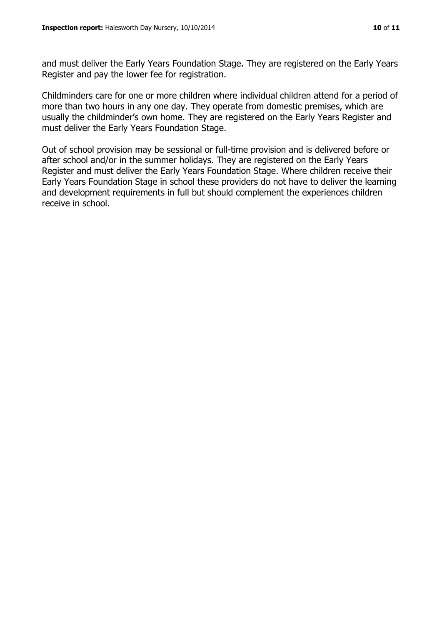and must deliver the Early Years Foundation Stage. They are registered on the Early Years Register and pay the lower fee for registration.

Childminders care for one or more children where individual children attend for a period of more than two hours in any one day. They operate from domestic premises, which are usually the childminder's own home. They are registered on the Early Years Register and must deliver the Early Years Foundation Stage.

Out of school provision may be sessional or full-time provision and is delivered before or after school and/or in the summer holidays. They are registered on the Early Years Register and must deliver the Early Years Foundation Stage. Where children receive their Early Years Foundation Stage in school these providers do not have to deliver the learning and development requirements in full but should complement the experiences children receive in school.